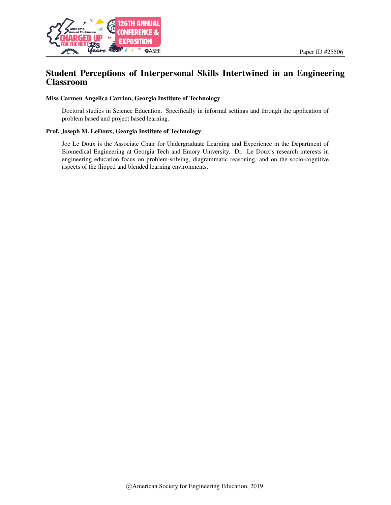

# Student Perceptions of Interpersonal Skills Intertwined in an Engineering Classroom

#### Miss Carmen Angelica Carrion, Georgia Institute of Technology

Doctoral studies in Science Education. Specifically in informal settings and through the application of problem based and project based learning.

#### Prof. Joseph M. LeDoux, Georgia Institute of Technology

Joe Le Doux is the Associate Chair for Undergraduate Learning and Experience in the Department of Biomedical Engineering at Georgia Tech and Emory University. Dr. Le Doux's research interests in engineering education focus on problem-solving, diagrammatic reasoning, and on the socio-cognitive aspects of the flipped and blended learning environments.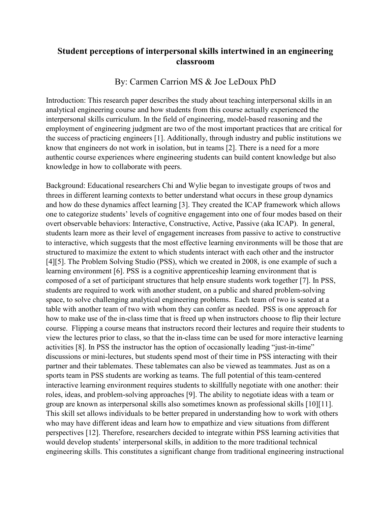# **Student perceptions of interpersonal skills intertwined in an engineering classroom**

# By: Carmen Carrion MS & Joe LeDoux PhD

Introduction: This research paper describes the study about teaching interpersonal skills in an analytical engineering course and how students from this course actually experienced the interpersonal skills curriculum. In the field of engineering, model-based reasoning and the employment of engineering judgment are two of the most important practices that are critical for the success of practicing engineers [1]. Additionally, through industry and public institutions we know that engineers do not work in isolation, but in teams [2]. There is a need for a more authentic course experiences where engineering students can build content knowledge but also knowledge in how to collaborate with peers.

Background: Educational researchers Chi and Wylie began to investigate groups of twos and threes in different learning contexts to better understand what occurs in these group dynamics and how do these dynamics affect learning [3]. They created the ICAP framework which allows one to categorize students' levels of cognitive engagement into one of four modes based on their overt observable behaviors: Interactive, Constructive, Active, Passive (aka ICAP). In general, students learn more as their level of engagement increases from passive to active to constructive to interactive, which suggests that the most effective learning environments will be those that are structured to maximize the extent to which students interact with each other and the instructor [4][5]. The Problem Solving Studio (PSS), which we created in 2008, is one example of such a learning environment [6]. PSS is a cognitive apprenticeship learning environment that is composed of a set of participant structures that help ensure students work together [7]. In PSS, students are required to work with another student, on a public and shared problem-solving space, to solve challenging analytical engineering problems. Each team of two is seated at a table with another team of two with whom they can confer as needed. PSS is one approach for how to make use of the in-class time that is freed up when instructors choose to flip their lecture course. Flipping a course means that instructors record their lectures and require their students to view the lectures prior to class, so that the in-class time can be used for more interactive learning activities [8]. In PSS the instructor has the option of occasionally leading "just-in-time" discussions or mini-lectures, but students spend most of their time in PSS interacting with their partner and their tablemates. These tablemates can also be viewed as teammates. Just as on a sports team in PSS students are working as teams. The full potential of this team-centered interactive learning environment requires students to skillfully negotiate with one another: their roles, ideas, and problem-solving approaches [9]. The ability to negotiate ideas with a team or group are known as interpersonal skills also sometimes known as professional skills [10][11]. This skill set allows individuals to be better prepared in understanding how to work with others who may have different ideas and learn how to empathize and view situations from different perspectives [12]. Therefore, researchers decided to integrate within PSS learning activities that would develop students' interpersonal skills, in addition to the more traditional technical engineering skills. This constitutes a significant change from traditional engineering instructional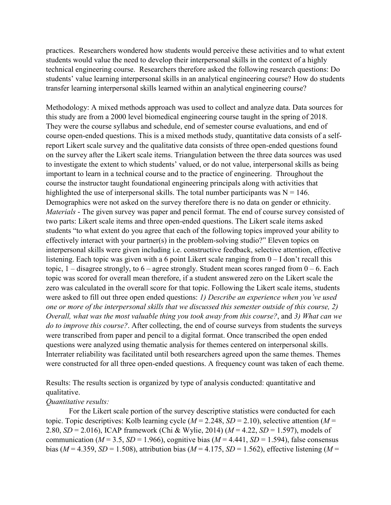practices. Researchers wondered how students would perceive these activities and to what extent students would value the need to develop their interpersonal skills in the context of a highly technical engineering course. Researchers therefore asked the following research questions: Do students' value learning interpersonal skills in an analytical engineering course? How do students transfer learning interpersonal skills learned within an analytical engineering course?

Methodology: A mixed methods approach was used to collect and analyze data. Data sources for this study are from a 2000 level biomedical engineering course taught in the spring of 2018. They were the course syllabus and schedule, end of semester course evaluations, and end of course open-ended questions. This is a mixed methods study, quantitative data consists of a selfreport Likert scale survey and the qualitative data consists of three open-ended questions found on the survey after the Likert scale items. Triangulation between the three data sources was used to investigate the extent to which students' valued, or do not value, interpersonal skills as being important to learn in a technical course and to the practice of engineering. Throughout the course the instructor taught foundational engineering principals along with activities that highlighted the use of interpersonal skills. The total number participants was  $N = 146$ . Demographics were not asked on the survey therefore there is no data on gender or ethnicity. *Materials* - The given survey was paper and pencil format. The end of course survey consisted of two parts: Likert scale items and three open-ended questions. The Likert scale items asked students "to what extent do you agree that each of the following topics improved your ability to effectively interact with your partner(s) in the problem-solving studio?" Eleven topics on interpersonal skills were given including i.e. constructive feedback, selective attention, effective listening. Each topic was given with a 6 point Likert scale ranging from  $0 - I$  don't recall this topic,  $1 -$  disagree strongly, to  $6 -$  agree strongly. Student mean scores ranged from  $0 - 6$ . Each topic was scored for overall mean therefore, if a student answered zero on the Likert scale the zero was calculated in the overall score for that topic. Following the Likert scale items, students were asked to fill out three open ended questions: *1) Describe an experience when you've used one or more of the interpersonal skills that we discussed this semester outside of this course, 2) Overall, what was the most valuable thing you took away from this course?*, and *3) What can we do to improve this course?*. After collecting, the end of course surveys from students the surveys were transcribed from paper and pencil to a digital format. Once transcribed the open ended questions were analyzed using thematic analysis for themes centered on interpersonal skills. Interrater reliability was facilitated until both researchers agreed upon the same themes. Themes were constructed for all three open-ended questions. A frequency count was taken of each theme.

Results: The results section is organized by type of analysis conducted: quantitative and qualitative.

### *Quantitative results:*

For the Likert scale portion of the survey descriptive statistics were conducted for each topic. Topic descriptives: Kolb learning cycle (*M* = 2.248, *SD* = 2.10), selective attention (*M* = 2.80, *SD* = 2.016), ICAP framework (Chi & Wylie, 2014) (*M* = 4.22, *SD* = 1.597), models of communication ( $M = 3.5$ ,  $SD = 1.966$ ), cognitive bias ( $M = 4.441$ ,  $SD = 1.594$ ), false consensus bias ( $M = 4.359$ ,  $SD = 1.508$ ), attribution bias ( $M = 4.175$ ,  $SD = 1.562$ ), effective listening ( $M =$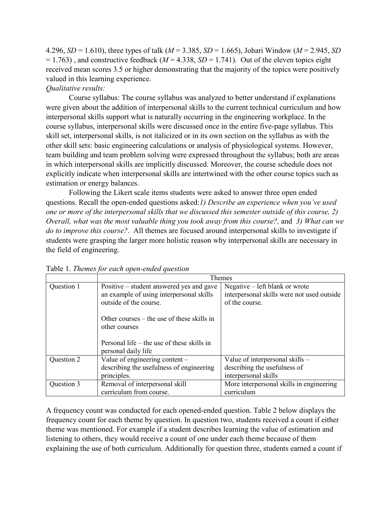4.296, *SD* = 1.610), three types of talk (*M* = 3.385, *SD* = 1.665), Johari Window (*M* = 2.945, *SD*  $= 1.763$ ), and constructive feedback ( $M = 4.338$ ,  $SD = 1.741$ ). Out of the eleven topics eight received mean scores 3.5 or higher demonstrating that the majority of the topics were positively valued in this learning experience.

## *Qualitative results:*

Course syllabus: The course syllabus was analyzed to better understand if explanations were given about the addition of interpersonal skills to the current technical curriculum and how interpersonal skills support what is naturally occurring in the engineering workplace. In the course syllabus, interpersonal skills were discussed once in the entire five-page syllabus. This skill set, interpersonal skills, is not italicized or in its own section on the syllabus as with the other skill sets: basic engineering calculations or analysis of physiological systems. However, team building and team problem solving were expressed throughout the syllabus; both are areas in which interpersonal skills are implicitly discussed. Moreover, the course schedule does not explicitly indicate when interpersonal skills are intertwined with the other course topics such as estimation or energy balances.

Following the Likert scale items students were asked to answer three open ended questions. Recall the open-ended questions asked:*1) Describe an experience when you've used one or more of the interpersonal skills that we discussed this semester outside of this course, 2) Overall, what was the most valuable thing you took away from this course?,* and *3) What can we do to improve this course?*. All themes are focused around interpersonal skills to investigate if students were grasping the larger more holistic reason why interpersonal skills are necessary in the field of engineering.

|            | Themes                                                                                                         |                                                                                                |
|------------|----------------------------------------------------------------------------------------------------------------|------------------------------------------------------------------------------------------------|
| Question 1 | Positive – student answered yes and gave<br>an example of using interpersonal skills<br>outside of the course. | Negative – left blank or wrote<br>interpersonal skills were not used outside<br>of the course. |
|            | Other courses $-$ the use of these skills in<br>other courses                                                  |                                                                                                |
|            | Personal life $-$ the use of these skills in<br>personal daily life                                            |                                                                                                |
| Question 2 | Value of engineering content -<br>describing the usefulness of engineering<br>principles.                      | Value of interpersonal skills -<br>describing the usefulness of<br>interpersonal skills        |
| Question 3 | Removal of interpersonal skill<br>curriculum from course.                                                      | More interpersonal skills in engineering<br>curriculum                                         |

Table 1. *Themes for each open-ended question* 

A frequency count was conducted for each opened-ended question. Table 2 below displays the frequency count for each theme by question. In question two, students received a count if either theme was mentioned. For example if a student describes learning the value of estimation and listening to others, they would receive a count of one under each theme because of them explaining the use of both curriculum. Additionally for question three, students earned a count if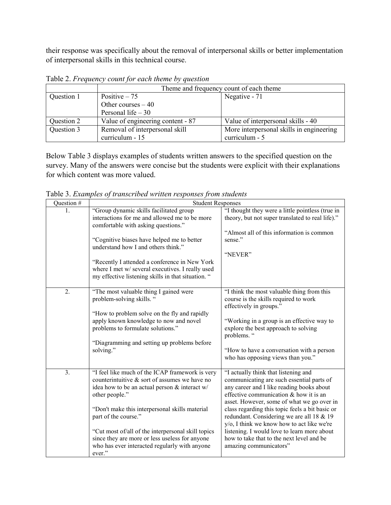their response was specifically about the removal of interpersonal skills or better implementation of interpersonal skills in this technical course.

|            | Theme and frequency count of each theme |                                          |
|------------|-----------------------------------------|------------------------------------------|
| Question 1 | Positive $-75$                          | Negative - 71                            |
|            | Other courses $-40$                     |                                          |
|            | Personal life $-30$                     |                                          |
| Question 2 | Value of engineering content - 87       | Value of interpersonal skills - 40       |
| Question 3 | Removal of interpersonal skill          | More interpersonal skills in engineering |
|            | curriculum - 15                         | curriculum - 5                           |

Table 2. *Frequency count for each theme by question*

Below Table 3 displays examples of students written answers to the specified question on the survey. Many of the answers were concise but the students were explicit with their explanations for which content was more valued.

Table 3. *Examples of transcribed written responses from students*

| Question # | <b>Student Responses</b>                                                                                                                                                                                                                                                                                                                                                                                            |                                                                                                                                                                                                                                                                                                                                                                                                                                                                                            |  |
|------------|---------------------------------------------------------------------------------------------------------------------------------------------------------------------------------------------------------------------------------------------------------------------------------------------------------------------------------------------------------------------------------------------------------------------|--------------------------------------------------------------------------------------------------------------------------------------------------------------------------------------------------------------------------------------------------------------------------------------------------------------------------------------------------------------------------------------------------------------------------------------------------------------------------------------------|--|
| 1.         | "Group dynamic skills facilitated group<br>interactions for me and allowed me to be more<br>comfortable with asking questions."<br>"Cognitive biases have helped me to better<br>understand how I and others think."<br>"Recently I attended a conference in New York<br>where I met w/ several executives. I really used<br>my effective listening skills in that situation. "                                     | "I thought they were a little pointless (true in<br>theory, but not super translated to real life)."<br>"Almost all of this information is common<br>sense."<br>"NEVER"                                                                                                                                                                                                                                                                                                                    |  |
| 2.         | "The most valuable thing I gained were<br>problem-solving skills. "<br>"How to problem solve on the fly and rapidly"<br>apply known knowledge to now and novel<br>problems to formulate solutions."<br>"Diagramming and setting up problems before<br>solving."                                                                                                                                                     | "I think the most valuable thing from this<br>course is the skills required to work<br>effectively in groups."<br>"Working in a group is an effective way to<br>explore the best approach to solving<br>problems. "<br>"How to have a conversation with a person<br>who has opposing views than you."                                                                                                                                                                                      |  |
| 3.         | "I feel like much of the ICAP framework is very<br>counterintuitive $\&$ sort of assumes we have no<br>idea how to be an actual person & interact w/<br>other people."<br>"Don't make this interpersonal skills material<br>part of the course."<br>"Cut most of/all of the interpersonal skill topics<br>since they are more or less useless for anyone<br>who has ever interacted regularly with anyone<br>ever." | "I actually think that listening and<br>communicating are such essential parts of<br>any career and I like reading books about<br>effective communication & how it is an<br>asset. However, some of what we go over in<br>class regarding this topic feels a bit basic or<br>redundant. Considering we are all 18 & 19<br>y/o, I think we know how to act like we're<br>listening. I would love to learn more about<br>how to take that to the next level and be<br>amazing communicators" |  |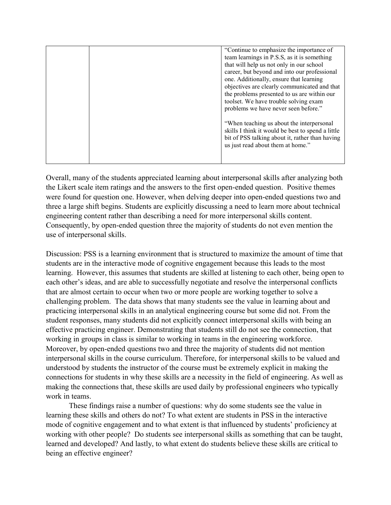|  | "Continue to emphasize the importance of<br>team learnings in P.S.S, as it is something<br>that will help us not only in our school<br>career, but beyond and into our professional<br>one. Additionally, ensure that learning<br>objectives are clearly communicated and that<br>the problems presented to us are within our<br>toolset. We have trouble solving exam |
|--|------------------------------------------------------------------------------------------------------------------------------------------------------------------------------------------------------------------------------------------------------------------------------------------------------------------------------------------------------------------------|
|  | problems we have never seen before."<br>"When teaching us about the interpersonal"<br>skills I think it would be best to spend a little<br>bit of PSS talking about it, rather than having<br>us just read about them at home."                                                                                                                                        |

Overall, many of the students appreciated learning about interpersonal skills after analyzing both the Likert scale item ratings and the answers to the first open-ended question. Positive themes were found for question one. However, when delving deeper into open-ended questions two and three a large shift begins. Students are explicitly discussing a need to learn more about technical engineering content rather than describing a need for more interpersonal skills content. Consequently, by open-ended question three the majority of students do not even mention the use of interpersonal skills.

Discussion: PSS is a learning environment that is structured to maximize the amount of time that students are in the interactive mode of cognitive engagement because this leads to the most learning. However, this assumes that students are skilled at listening to each other, being open to each other's ideas, and are able to successfully negotiate and resolve the interpersonal conflicts that are almost certain to occur when two or more people are working together to solve a challenging problem. The data shows that many students see the value in learning about and practicing interpersonal skills in an analytical engineering course but some did not. From the student responses, many students did not explicitly connect interpersonal skills with being an effective practicing engineer. Demonstrating that students still do not see the connection, that working in groups in class is similar to working in teams in the engineering workforce. Moreover, by open-ended questions two and three the majority of students did not mention interpersonal skills in the course curriculum. Therefore, for interpersonal skills to be valued and understood by students the instructor of the course must be extremely explicit in making the connections for students in why these skills are a necessity in the field of engineering. As well as making the connections that, these skills are used daily by professional engineers who typically work in teams.

These findings raise a number of questions: why do some students see the value in learning these skills and others do not? To what extent are students in PSS in the interactive mode of cognitive engagement and to what extent is that influenced by students' proficiency at working with other people? Do students see interpersonal skills as something that can be taught, learned and developed? And lastly, to what extent do students believe these skills are critical to being an effective engineer?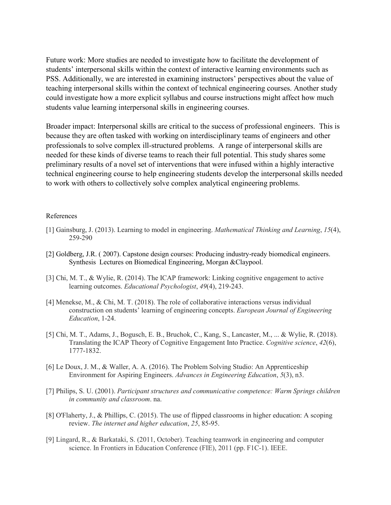Future work: More studies are needed to investigate how to facilitate the development of students' interpersonal skills within the context of interactive learning environments such as PSS. Additionally, we are interested in examining instructors' perspectives about the value of teaching interpersonal skills within the context of technical engineering courses. Another study could investigate how a more explicit syllabus and course instructions might affect how much students value learning interpersonal skills in engineering courses.

Broader impact: Interpersonal skills are critical to the success of professional engineers. This is because they are often tasked with working on interdisciplinary teams of engineers and other professionals to solve complex ill-structured problems. A range of interpersonal skills are needed for these kinds of diverse teams to reach their full potential. This study shares some preliminary results of a novel set of interventions that were infused within a highly interactive technical engineering course to help engineering students develop the interpersonal skills needed to work with others to collectively solve complex analytical engineering problems.

#### References

- [1] Gainsburg, J. (2013). Learning to model in engineering. *Mathematical Thinking and Learning*, *15*(4), 259-290
- [2] Goldberg, J.R. ( 2007). Capstone design courses: Producing industry-ready biomedical engineers. Synthesis Lectures on Biomedical Engineering, Morgan &Claypool.
- [3] Chi, M. T., & Wylie, R. (2014). The ICAP framework: Linking cognitive engagement to active learning outcomes. *Educational Psychologist*, *49*(4), 219-243.
- [4] Menekse, M., & Chi, M. T. (2018). The role of collaborative interactions versus individual construction on students' learning of engineering concepts. *European Journal of Engineering Education*, 1-24.
- [5] Chi, M. T., Adams, J., Bogusch, E. B., Bruchok, C., Kang, S., Lancaster, M., ... & Wylie, R. (2018). Translating the ICAP Theory of Cognitive Engagement Into Practice. *Cognitive science*, *42*(6), 1777-1832.
- [6] Le Doux, J. M., & Waller, A. A. (2016). The Problem Solving Studio: An Apprenticeship Environment for Aspiring Engineers. *Advances in Engineering Education*, *5*(3), n3.
- [7] Philips, S. U. (2001). *Participant structures and communicative competence: Warm Springs children in community and classroom*. na.
- [8] O'Flaherty, J., & Phillips, C. (2015). The use of flipped classrooms in higher education: A scoping review. *The internet and higher education*, *25*, 85-95.
- [9] Lingard, R., & Barkataki, S. (2011, October). Teaching teamwork in engineering and computer science. In Frontiers in Education Conference (FIE), 2011 (pp. F1C-1). IEEE.